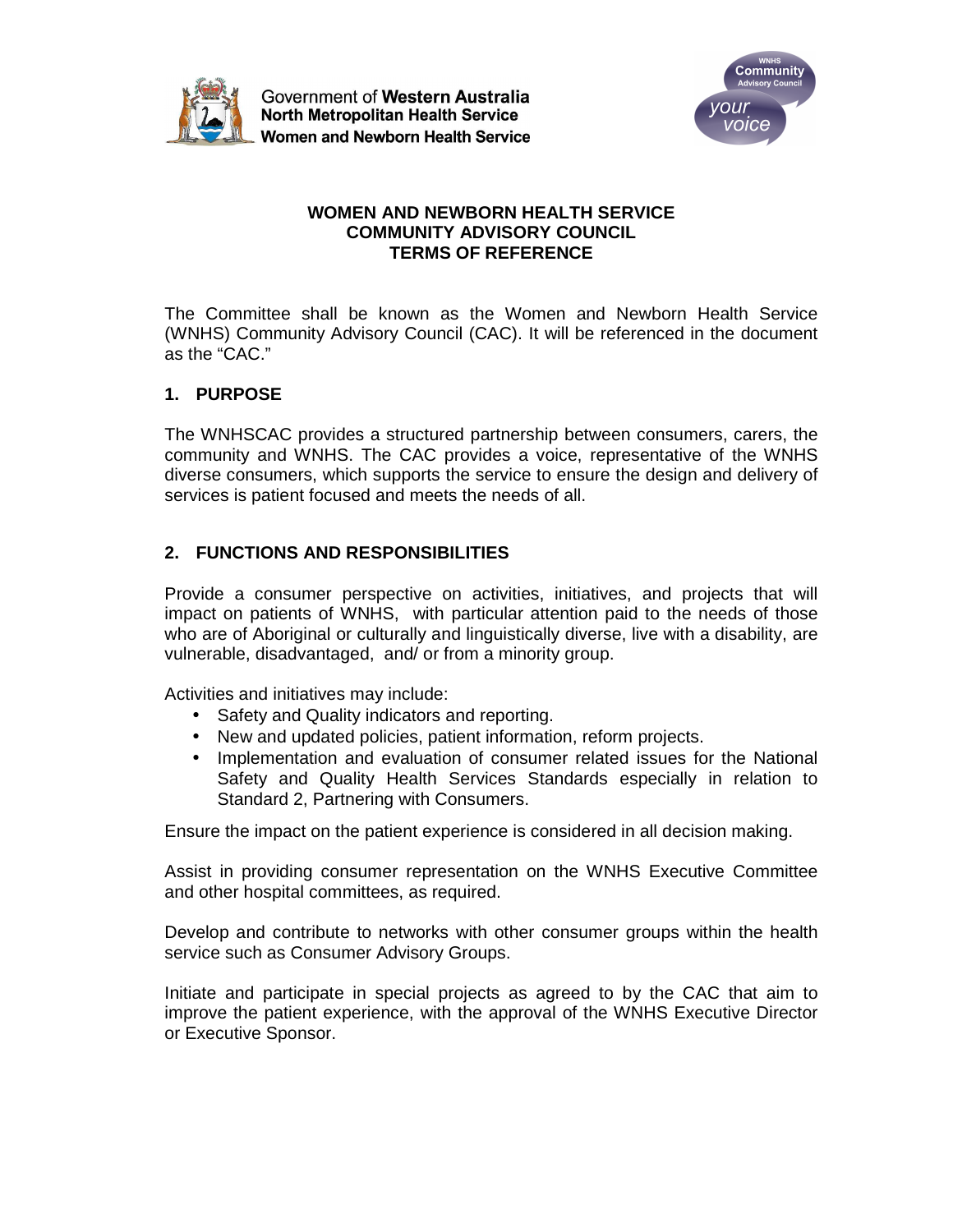

Government of Western Australia **North Metropolitan Health Service Women and Newborn Health Service** 



## **WOMEN AND NEWBORN HEALTH SERVICE COMMUNITY ADVISORY COUNCIL TERMS OF REFERENCE**

The Committee shall be known as the Women and Newborn Health Service (WNHS) Community Advisory Council (CAC). It will be referenced in the document as the "CAC."

# **1. PURPOSE**

The WNHSCAC provides a structured partnership between consumers, carers, the community and WNHS. The CAC provides a voice, representative of the WNHS diverse consumers, which supports the service to ensure the design and delivery of services is patient focused and meets the needs of all.

# **2. FUNCTIONS AND RESPONSIBILITIES**

Provide a consumer perspective on activities, initiatives, and projects that will impact on patients of WNHS, with particular attention paid to the needs of those who are of Aboriginal or culturally and linguistically diverse, live with a disability, are vulnerable, disadvantaged, and/ or from a minority group.

Activities and initiatives may include:

- Safety and Quality indicators and reporting.
- New and updated policies, patient information, reform projects.
- Implementation and evaluation of consumer related issues for the National Safety and Quality Health Services Standards especially in relation to Standard 2, Partnering with Consumers.

Ensure the impact on the patient experience is considered in all decision making.

Assist in providing consumer representation on the WNHS Executive Committee and other hospital committees, as required.

Develop and contribute to networks with other consumer groups within the health service such as Consumer Advisory Groups.

Initiate and participate in special projects as agreed to by the CAC that aim to improve the patient experience, with the approval of the WNHS Executive Director or Executive Sponsor.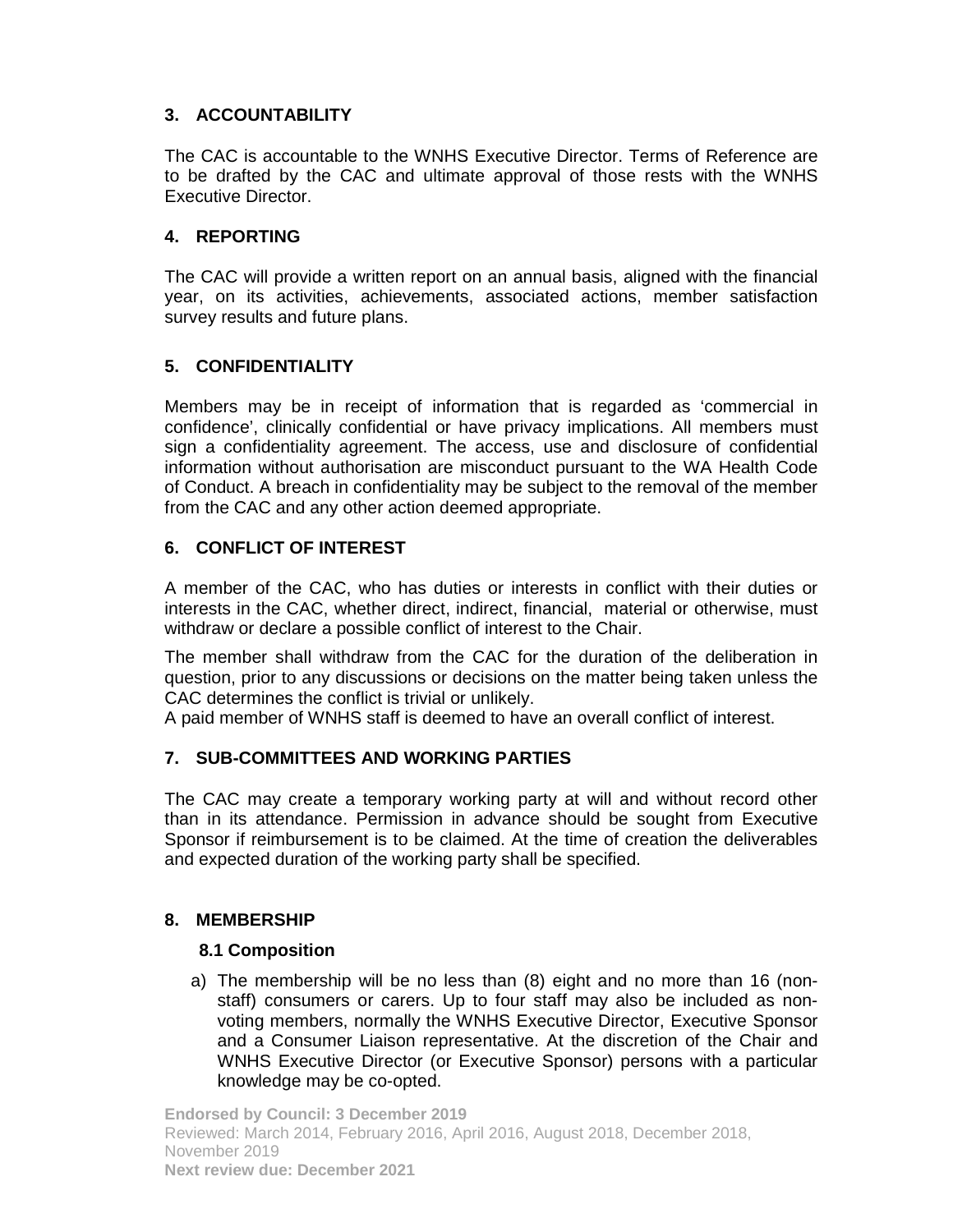# **3. ACCOUNTABILITY**

The CAC is accountable to the WNHS Executive Director. Terms of Reference are to be drafted by the CAC and ultimate approval of those rests with the WNHS Executive Director.

## **4. REPORTING**

The CAC will provide a written report on an annual basis, aligned with the financial year, on its activities, achievements, associated actions, member satisfaction survey results and future plans.

# **5. CONFIDENTIALITY**

Members may be in receipt of information that is regarded as 'commercial in confidence', clinically confidential or have privacy implications. All members must sign a confidentiality agreement. The access, use and disclosure of confidential information without authorisation are misconduct pursuant to the WA Health Code of Conduct. A breach in confidentiality may be subject to the removal of the member from the CAC and any other action deemed appropriate.

# **6. CONFLICT OF INTEREST**

A member of the CAC, who has duties or interests in conflict with their duties or interests in the CAC, whether direct, indirect, financial, material or otherwise, must withdraw or declare a possible conflict of interest to the Chair.

The member shall withdraw from the CAC for the duration of the deliberation in question, prior to any discussions or decisions on the matter being taken unless the CAC determines the conflict is trivial or unlikely.

A paid member of WNHS staff is deemed to have an overall conflict of interest.

## **7. SUB-COMMITTEES AND WORKING PARTIES**

The CAC may create a temporary working party at will and without record other than in its attendance. Permission in advance should be sought from Executive Sponsor if reimbursement is to be claimed. At the time of creation the deliverables and expected duration of the working party shall be specified.

## **8. MEMBERSHIP**

## **8.1 Composition**

a) The membership will be no less than (8) eight and no more than 16 (nonstaff) consumers or carers. Up to four staff may also be included as nonvoting members, normally the WNHS Executive Director, Executive Sponsor and a Consumer Liaison representative. At the discretion of the Chair and WNHS Executive Director (or Executive Sponsor) persons with a particular knowledge may be co-opted.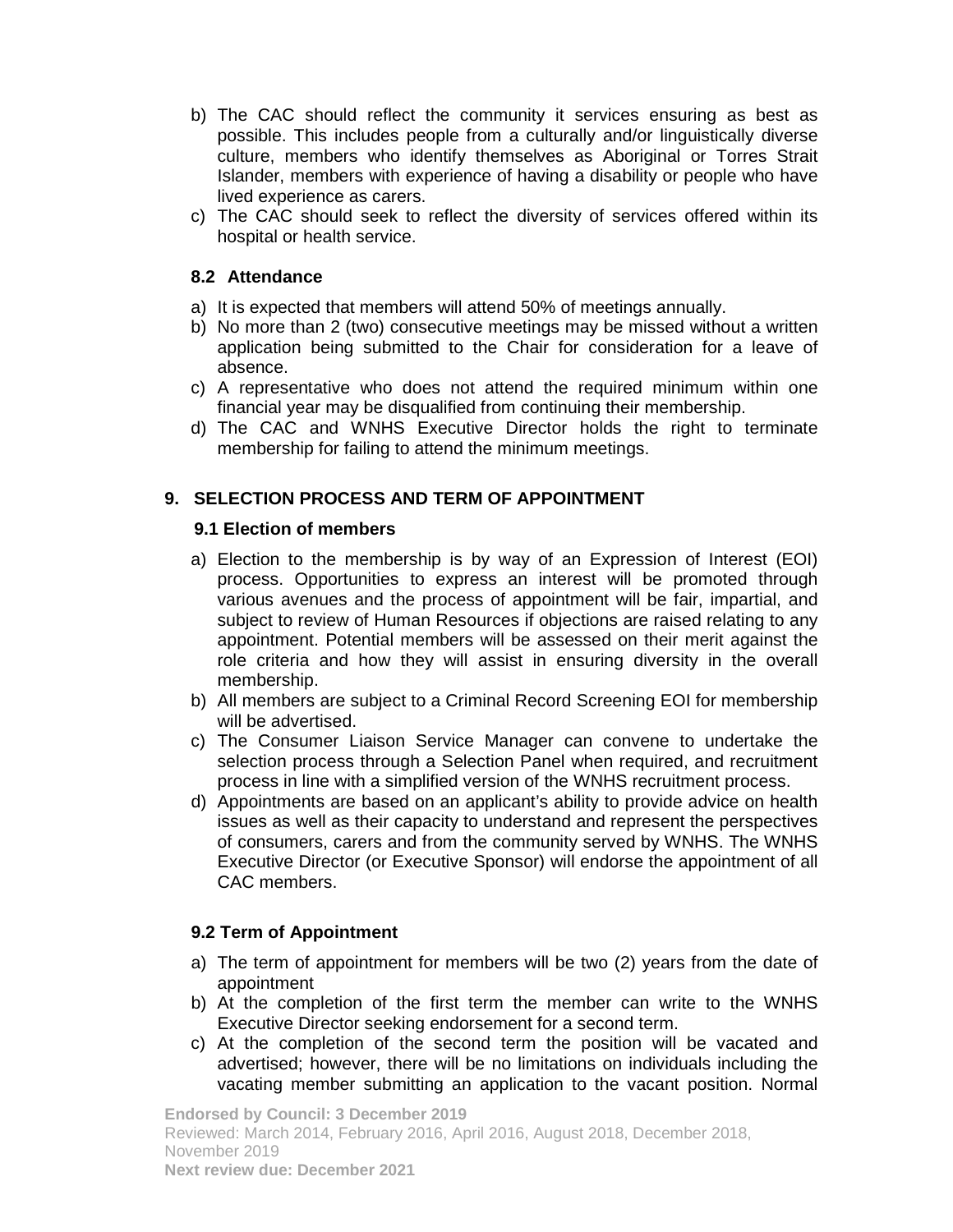- b) The CAC should reflect the community it services ensuring as best as possible. This includes people from a culturally and/or linguistically diverse culture, members who identify themselves as Aboriginal or Torres Strait Islander, members with experience of having a disability or people who have lived experience as carers.
- c) The CAC should seek to reflect the diversity of services offered within its hospital or health service.

## **8.2 Attendance**

- a) It is expected that members will attend 50% of meetings annually.
- b) No more than 2 (two) consecutive meetings may be missed without a written application being submitted to the Chair for consideration for a leave of absence.
- c) A representative who does not attend the required minimum within one financial year may be disqualified from continuing their membership.
- d) The CAC and WNHS Executive Director holds the right to terminate membership for failing to attend the minimum meetings.

## **9. SELECTION PROCESS AND TERM OF APPOINTMENT**

### **9.1 Election of members**

- a) Election to the membership is by way of an Expression of Interest (EOI) process. Opportunities to express an interest will be promoted through various avenues and the process of appointment will be fair, impartial, and subject to review of Human Resources if objections are raised relating to any appointment. Potential members will be assessed on their merit against the role criteria and how they will assist in ensuring diversity in the overall membership.
- b) All members are subject to a Criminal Record Screening EOI for membership will be advertised.
- c) The Consumer Liaison Service Manager can convene to undertake the selection process through a Selection Panel when required, and recruitment process in line with a simplified version of the WNHS recruitment process.
- d) Appointments are based on an applicant's ability to provide advice on health issues as well as their capacity to understand and represent the perspectives of consumers, carers and from the community served by WNHS. The WNHS Executive Director (or Executive Sponsor) will endorse the appointment of all CAC members.

### **9.2 Term of Appointment**

- a) The term of appointment for members will be two (2) years from the date of appointment
- b) At the completion of the first term the member can write to the WNHS Executive Director seeking endorsement for a second term.
- c) At the completion of the second term the position will be vacated and advertised; however, there will be no limitations on individuals including the vacating member submitting an application to the vacant position. Normal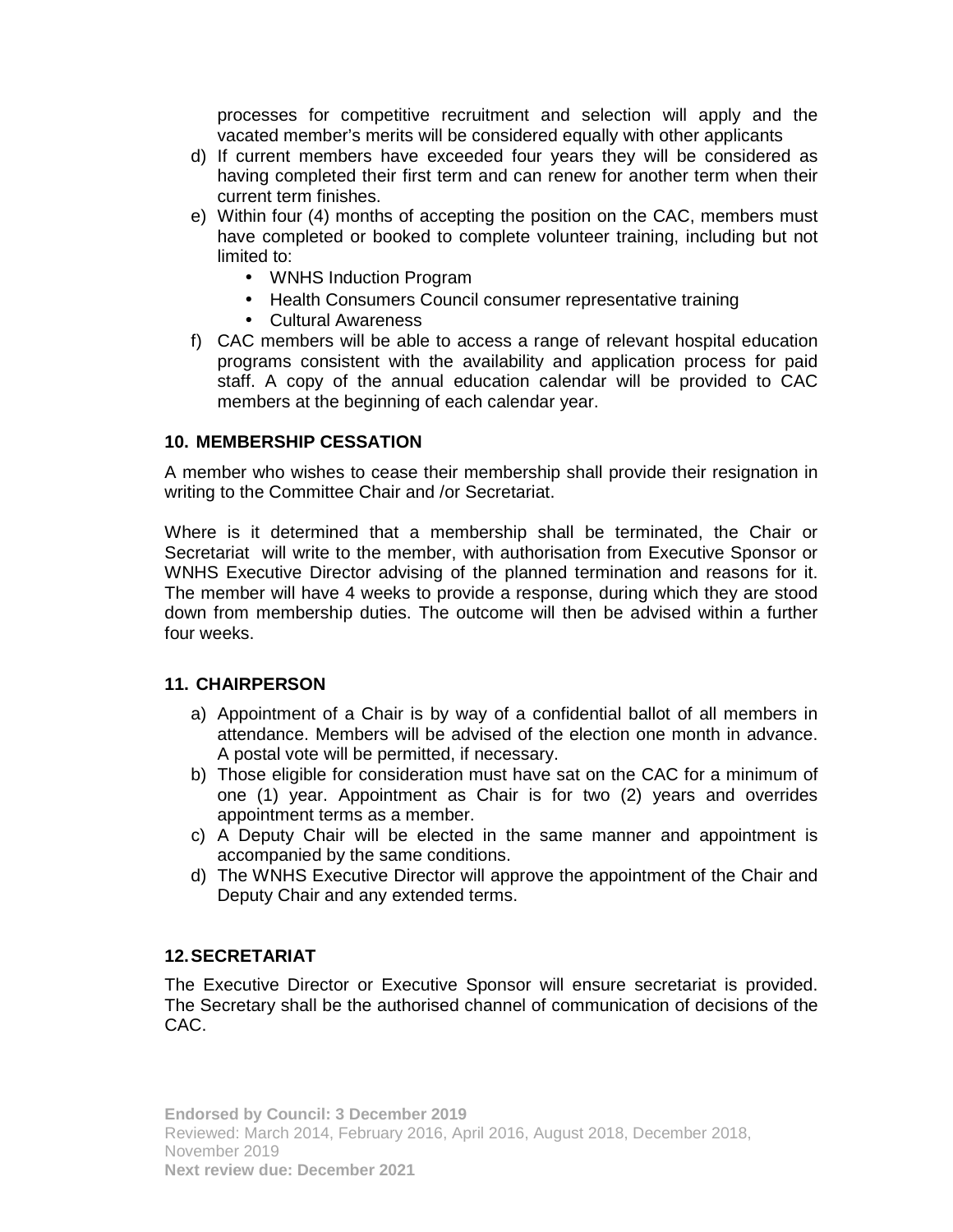processes for competitive recruitment and selection will apply and the vacated member's merits will be considered equally with other applicants

- d) If current members have exceeded four years they will be considered as having completed their first term and can renew for another term when their current term finishes.
- e) Within four (4) months of accepting the position on the CAC, members must have completed or booked to complete volunteer training, including but not limited to:
	- WNHS Induction Program
	- Health Consumers Council consumer representative training
	- Cultural Awareness
- f) CAC members will be able to access a range of relevant hospital education programs consistent with the availability and application process for paid staff. A copy of the annual education calendar will be provided to CAC members at the beginning of each calendar year.

## **10. MEMBERSHIP CESSATION**

A member who wishes to cease their membership shall provide their resignation in writing to the Committee Chair and /or Secretariat.

Where is it determined that a membership shall be terminated, the Chair or Secretariat will write to the member, with authorisation from Executive Sponsor or WNHS Executive Director advising of the planned termination and reasons for it. The member will have 4 weeks to provide a response, during which they are stood down from membership duties. The outcome will then be advised within a further four weeks.

## **11. CHAIRPERSON**

- a) Appointment of a Chair is by way of a confidential ballot of all members in attendance. Members will be advised of the election one month in advance. A postal vote will be permitted, if necessary.
- b) Those eligible for consideration must have sat on the CAC for a minimum of one (1) year. Appointment as Chair is for two (2) years and overrides appointment terms as a member.
- c) A Deputy Chair will be elected in the same manner and appointment is accompanied by the same conditions.
- d) The WNHS Executive Director will approve the appointment of the Chair and Deputy Chair and any extended terms.

### **12. SECRETARIAT**

The Executive Director or Executive Sponsor will ensure secretariat is provided. The Secretary shall be the authorised channel of communication of decisions of the CAC.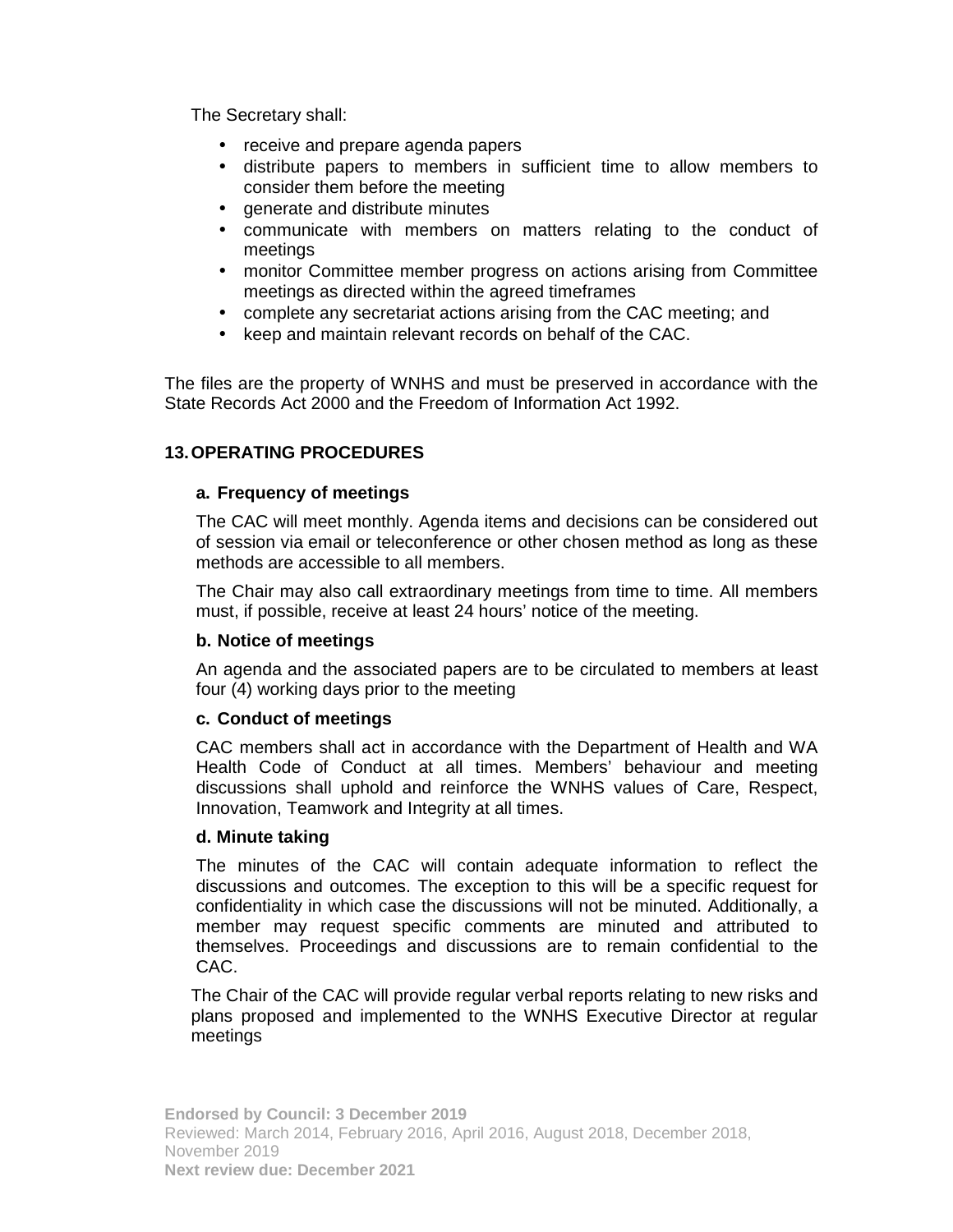The Secretary shall:

- receive and prepare agenda papers
- distribute papers to members in sufficient time to allow members to consider them before the meeting
- generate and distribute minutes
- communicate with members on matters relating to the conduct of meetings
- monitor Committee member progress on actions arising from Committee meetings as directed within the agreed timeframes
- complete any secretariat actions arising from the CAC meeting; and
- keep and maintain relevant records on behalf of the CAC.

The files are the property of WNHS and must be preserved in accordance with the State Records Act 2000 and the Freedom of Information Act 1992.

## **13. OPERATING PROCEDURES**

### **a. Frequency of meetings**

The CAC will meet monthly. Agenda items and decisions can be considered out of session via email or teleconference or other chosen method as long as these methods are accessible to all members.

The Chair may also call extraordinary meetings from time to time. All members must, if possible, receive at least 24 hours' notice of the meeting.

### **b. Notice of meetings**

An agenda and the associated papers are to be circulated to members at least four (4) working days prior to the meeting

### **c. Conduct of meetings**

CAC members shall act in accordance with the Department of Health and WA Health Code of Conduct at all times. Members' behaviour and meeting discussions shall uphold and reinforce the WNHS values of Care, Respect, Innovation, Teamwork and Integrity at all times.

#### **d. Minute taking**

The minutes of the CAC will contain adequate information to reflect the discussions and outcomes. The exception to this will be a specific request for confidentiality in which case the discussions will not be minuted. Additionally, a member may request specific comments are minuted and attributed to themselves. Proceedings and discussions are to remain confidential to the CAC.

The Chair of the CAC will provide regular verbal reports relating to new risks and plans proposed and implemented to the WNHS Executive Director at regular meetings